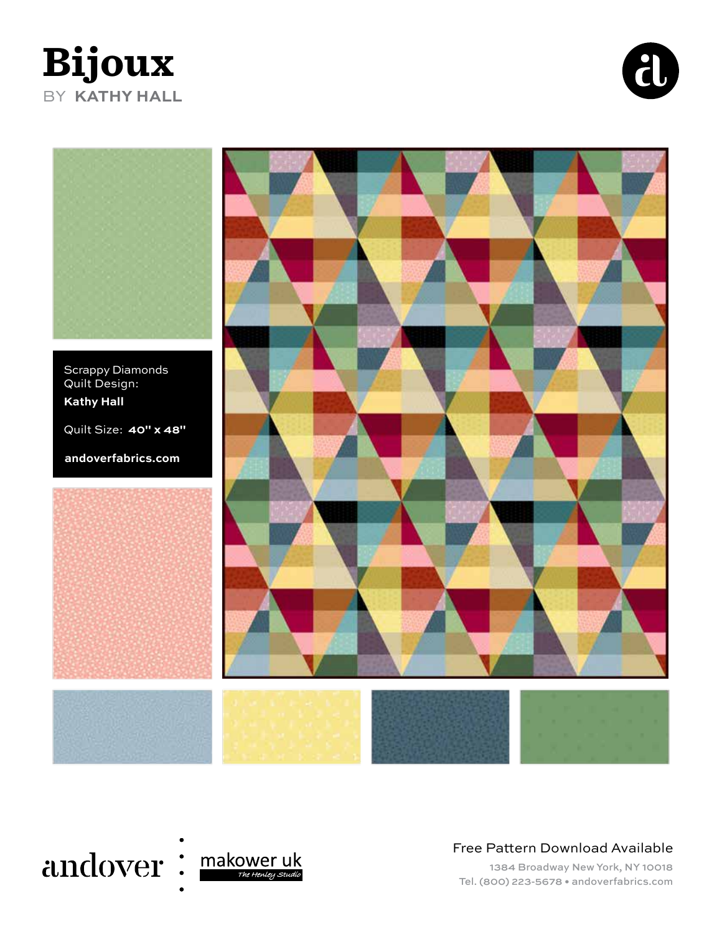# **Bijoux** BY **KATHY HALL**





Scrappy Diamonds Quilt Design: **Kathy Hall**

Quilt Size: **40" x 48"**

**andoverfabrics.com**







Free Pattern Download Available

1384 Broadway New York, NY 10018 Tel. (800) 223-5678 • andoverfabrics.com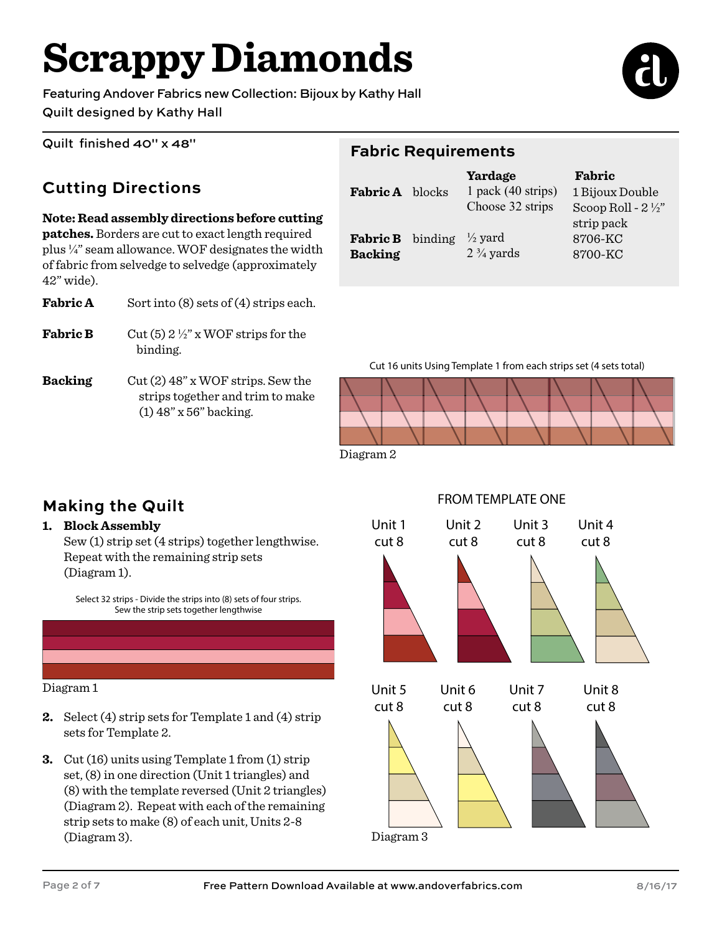# **Scrappy Diamonds**

Featuring Andover Fabrics new Collection: Bijoux by Kathy Hall Quilt designed by Kathy Hall



Quilt finished 40" x 48"

#### **Cutting Directions**

#### **Note: Read assembly directions before cutting**

**patches.** Borders are cut to exact length required plus ¼" seam allowance. WOF designates the width of fabric from selvedge to selvedge (approximately 42" wide).

**Fabric A** Sort into (8) sets of (4) strips each.

- **Fabric B** Cut (5)  $2\frac{1}{2}$ " x WOF strips for the binding.
- **Backing** Cut (2) 48" x WOF strips. Sew the strips together and trim to make (1) 48" x 56" backing.

#### **Fabric Requirements**

| <b>Fabric A</b> blocks                    | Yardage<br>$1$ pack $(40$ strips)<br>Choose 32 strips | Fabric<br>1 Bijoux Double<br>Scoop Roll - $2\frac{1}{2}$ |  |
|-------------------------------------------|-------------------------------------------------------|----------------------------------------------------------|--|
| <b>Fabric B</b> binding<br><b>Backing</b> | $\frac{1}{2}$ yard<br>$2\frac{3}{4}$ yards            | strip pack<br>8706-KC<br>8700-KC                         |  |

Cut 16 units Using Template 1 from each strips set (4 sets total)



Diagram 2

## **Making the Quilt**

#### **1. Block Assembly**

Sew (1) strip set (4 strips) together lengthwise. Repeat with the remaining strip sets (Diagram 1).

Select 32 strips - Divide the strips into (8) sets of four strips. Sew the strip sets together lengthwise



Diagram 1

- **2.** Select (4) strip sets for Template 1 and (4) strip sets for Template 2.
- **3.** Cut (16) units using Template 1 from (1) strip set, (8) in one direction (Unit 1 triangles) and (8) with the template reversed (Unit 2 triangles) (Diagram 2). Repeat with each of the remaining strip sets to make (8) of each unit, Units 2-8 (Diagram 3).



#### FROM TEMPLATE ONE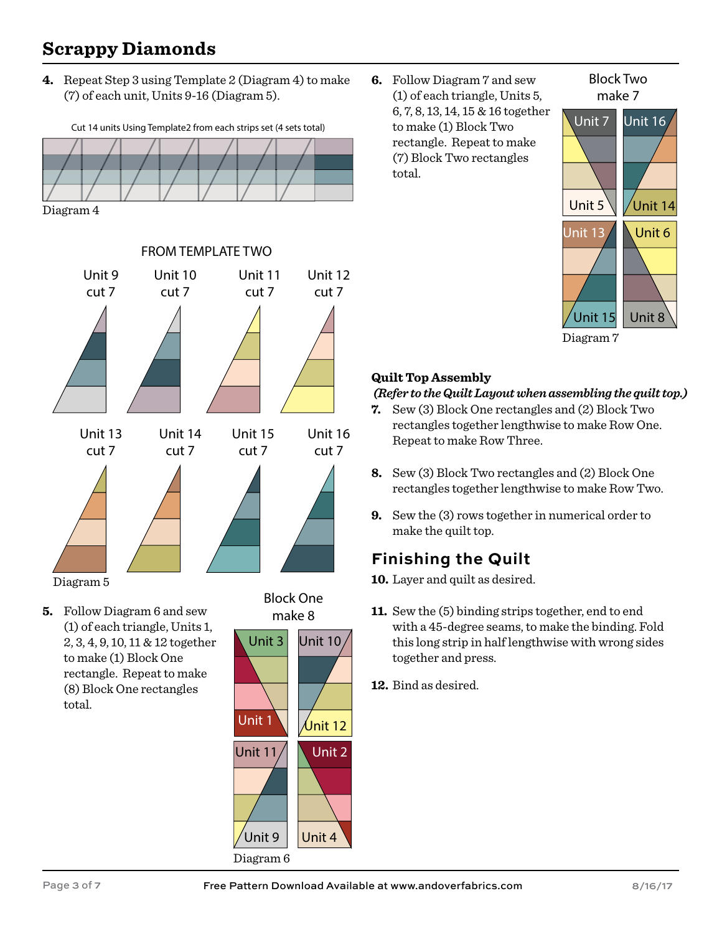## **Scrappy Diamonds**

**4.** Repeat Step 3 using Template 2 (Diagram 4) to make (7) of each unit, Units 9-16 (Diagram 5).



Diagram 4



**5.** Follow Diagram 6 and sew (1) of each triangle, Units 1, 2, 3, 4, 9, 10, 11 & 12 together to make (1) Block One rectangle. Repeat to make (8) Block One rectangles total.



**6.** Follow Diagram 7 and sew (1) of each triangle, Units 5, 6, 7, 8, 13, 14, 15 & 16 together to make (1) Block Two rectangle. Repeat to make (7) Block Two rectangles total.



Block Two

Diagram 7

#### **Quilt Top Assembly**

#### *(Refer to the Quilt Layout when assembling the quilt top.)*

- **7.** Sew (3) Block One rectangles and (2) Block Two rectangles together lengthwise to make Row One. Repeat to make Row Three.
- **8.** Sew (3) Block Two rectangles and (2) Block One rectangles together lengthwise to make Row Two.
- **9.** Sew the (3) rows together in numerical order to make the quilt top.

## **Finishing the Quilt**

**10.** Layer and quilt as desired.

- **11.** Sew the (5) binding strips together, end to end with a 45-degree seams, to make the binding. Fold this long strip in half lengthwise with wrong sides together and press.
- **12.** Bind as desired.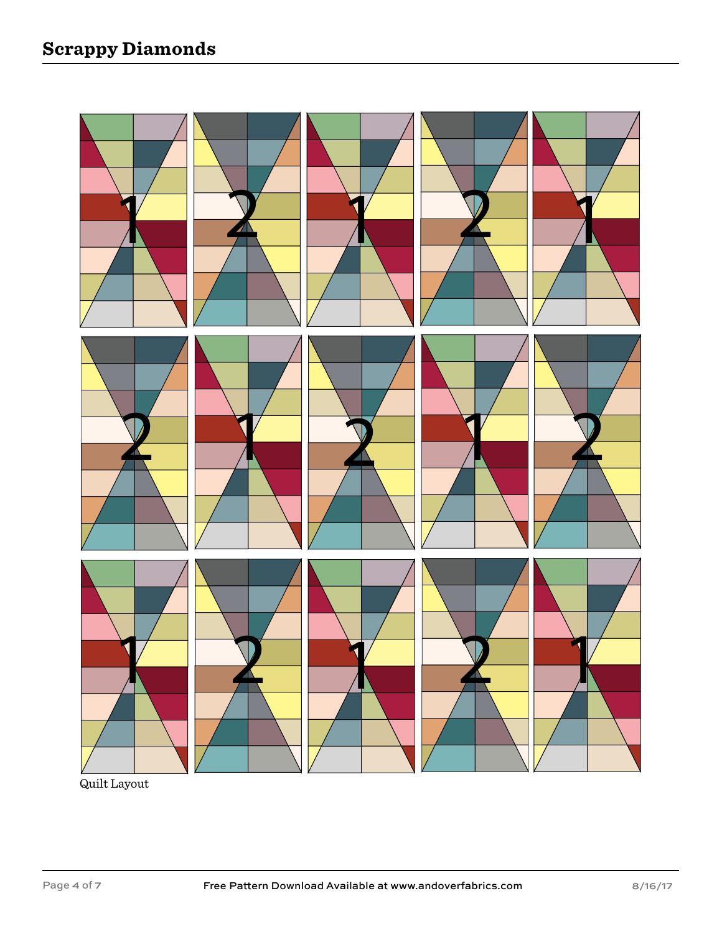

Quilt Layout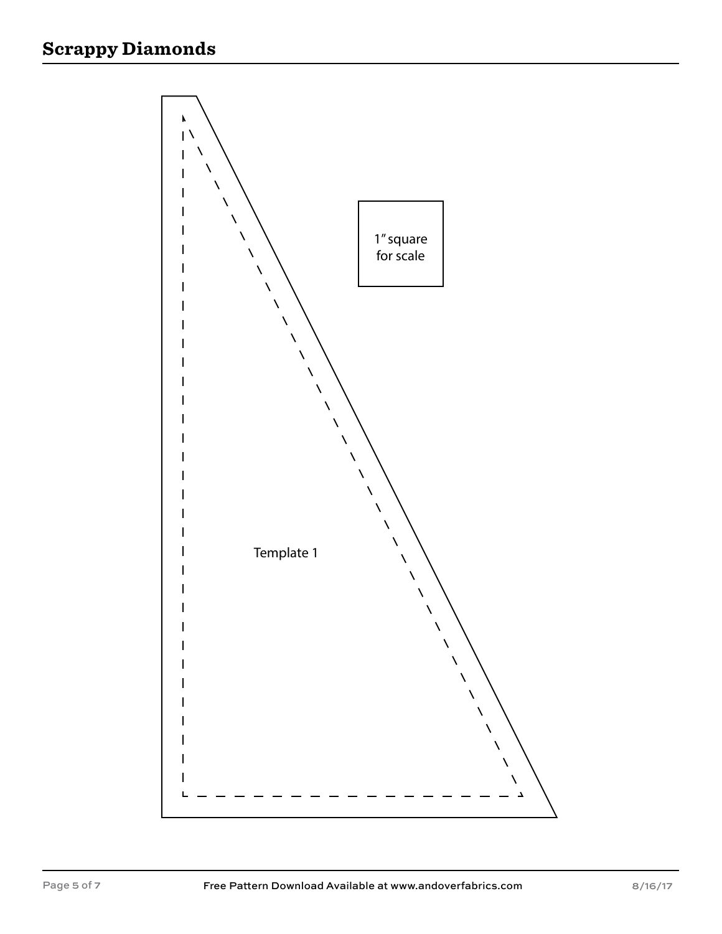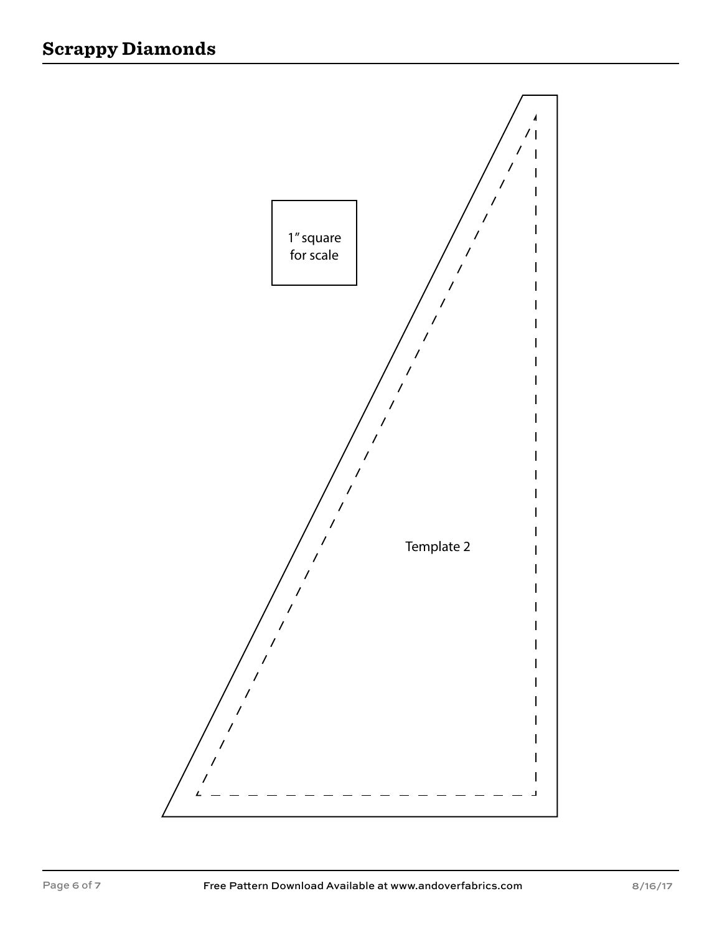